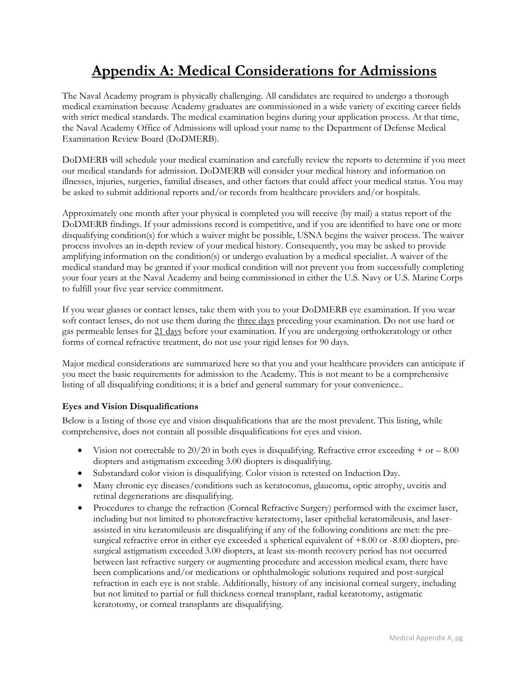# **Appendix A: Medical Considerations for Admissions**

The Naval Academy program is physically challenging. All candidates are required to undergo a thorough medical examination because Academy graduates are commissioned in a wide variety of exciting career fields with strict medical standards. The medical examination begins during your application process. At that time, the Naval Academy Office of Admissions will upload your name to the Department of Defense Medical Examination Review Board (DoDMERB).

DoDMERB will schedule your medical examination and carefully review the reports to determine if you meet our medical standards for admission. DoDMERB will consider your medical history and information on illnesses, injuries, surgeries, familial diseases, and other factors that could affect your medical status. You may be asked to submit additional reports and/or records from healthcare providers and/or hospitals.

Approximately one month after your physical is completed you will receive (by mail) a status report of the DoDMERB findings. If your admissions record is competitive, and if you are identified to have one or more disqualifying condition(s) for which a waiver might be possible, USNA begins the waiver process. The waiver process involves an in-depth review of your medical history. Consequently, you may be asked to provide amplifying information on the condition(s) or undergo evaluation by a medical specialist. A waiver of the medical standard may be granted if your medical condition will not prevent you from successfully completing your four years at the Naval Academy and being commissioned in either the U.S. Navy or U.S. Marine Corps to fulfill your five year service commitment.

If you wear glasses or contact lenses, take them with you to your DoDMERB eye examination. If you wear soft contact lenses, do not use them during the three days preceding your examination. Do not use hard or gas permeable lenses for 21 days before your examination. If you are undergoing orthokeratology or other forms of corneal refractive treatment, do not use your rigid lenses for 90 days.

Major medical considerations are summarized here so that you and your healthcare providers can anticipate if you meet the basic requirements for admission to the Academy. This is not meant to be a comprehensive listing of all disqualifying conditions; it is a brief and general summary for your convenience..

# **Eyes and Vision Disqualifications**

Below is a listing of those eye and vision disqualifications that are the most prevalent. This listing, while comprehensive, does not contain all possible disqualifications for eyes and vision.

- Vision not correctable to  $20/20$  in both eyes is disqualifying. Refractive error exceeding + or  $-8.00$ diopters and astigmatism exceeding 3.00 diopters is disqualifying.
- Substandard color vision is disqualifying. Color vision is retested on Induction Day.
- Many chronic eye diseases/conditions such as keratoconus, glaucoma, optic atrophy, uveitis and retinal degenerations are disqualifying.
- Procedures to change the refraction (Corneal Refractive Surgery) performed with the excimer laser, including but not limited to photorefractive keratectomy, laser epithelial keratomileusis, and laserassisted in situ keratomileusis are disqualifying if any of the following conditions are met: the presurgical refractive error in either eye exceeded a spherical equivalent of  $+8.00$  or -8.00 diopters, presurgical astigmatism exceeded 3.00 diopters, at least six-month recovery period has not occurred between last refractive surgery or augmenting procedure and accession medical exam, there have been complications and/or medications or ophthalmologic solutions required and post-surgical refraction in each eye is not stable. Additionally, history of any incisional corneal surgery, including but not limited to partial or full thickness corneal transplant, radial keratotomy, astigmatic keratotomy, or corneal transplants are disqualifying.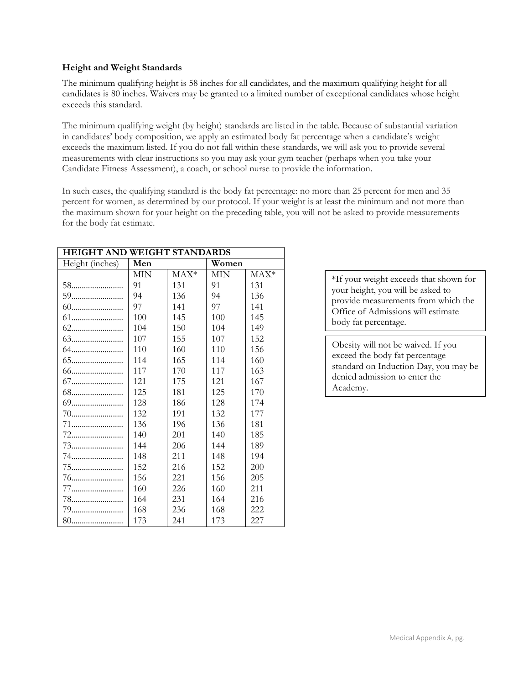## **Height and Weight Standards**

The minimum qualifying height is 58 inches for all candidates, and the maximum qualifying height for all candidates is 80 inches. Waivers may be granted to a limited number of exceptional candidates whose height exceeds this standard.

The minimum qualifying weight (by height) standards are listed in the table. Because of substantial variation in candidates' body composition, we apply an estimated body fat percentage when a candidate's weight exceeds the maximum listed. If you do not fall within these standards, we will ask you to provide several measurements with clear instructions so you may ask your gym teacher (perhaps when you take your Candidate Fitness Assessment), a coach, or school nurse to provide the information.

In such cases, the qualifying standard is the body fat percentage: no more than 25 percent for men and 35 percent for women, as determined by our protocol. If your weight is at least the minimum and not more than the maximum shown for your height on the preceding table, you will not be asked to provide measurements for the body fat estimate.

| HEIGHT AND WEIGHT STANDARDS |            |        |            |        |
|-----------------------------|------------|--------|------------|--------|
| Height (inches)             | Men        |        | Women      |        |
|                             | <b>MIN</b> | $MAX*$ | <b>MIN</b> | $MAX*$ |
| 58                          | 91         | 131    | 91         | 131    |
| 59                          | 94         | 136    | 94         | 136    |
| 60                          | 97         | 141    | 97         | 141    |
| 61                          | 100        | 145    | 100        | 145    |
|                             | 104        | 150    | 104        | 149    |
|                             | 107        | 155    | 107        | 152    |
|                             | 110        | 160    | 110        | 156    |
|                             | 114        | 165    | 114        | 160    |
| 66                          | 117        | 170    | 117        | 163    |
| 67                          | 121        | 175    | 121        | 167    |
|                             | 125        | 181    | 125        | 170    |
| 69                          | 128        | 186    | 128        | 174    |
|                             | 132        | 191    | 132        | 177    |
|                             | 136        | 196    | 136        | 181    |
|                             | 140        | 201    | 140        | 185    |
|                             | 144        | 206    | 144        | 189    |
|                             | 148        | 211    | 148        | 194    |
|                             | 152        | 216    | 152        | 200    |
|                             | 156        | 221    | 156        | 205    |
|                             | 160        | 226    | 160        | 211    |
|                             | 164        | 231    | 164        | 216    |
|                             | 168        | 236    | 168        | 222    |
| 80                          | 173        | 241    | 173        | 227    |

\*If your weight exceeds that shown for your height, you will be asked to provide measurements from which the Office of Admissions will estimate body fat percentage.

Obesity will not be waived. If you exceed the body fat percentage standard on Induction Day, you may be denied admission to enter the Academy.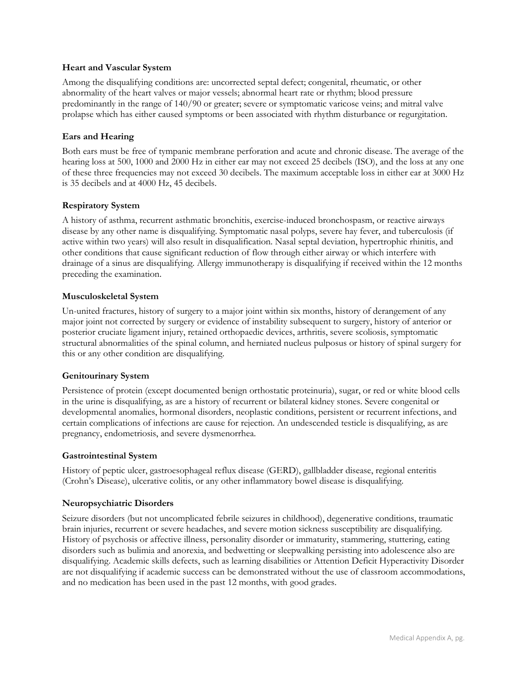## **Heart and Vascular System**

Among the disqualifying conditions are: uncorrected septal defect; congenital, rheumatic, or other abnormality of the heart valves or major vessels; abnormal heart rate or rhythm; blood pressure predominantly in the range of 140/90 or greater; severe or symptomatic varicose veins; and mitral valve prolapse which has either caused symptoms or been associated with rhythm disturbance or regurgitation.

# **Ears and Hearing**

Both ears must be free of tympanic membrane perforation and acute and chronic disease. The average of the hearing loss at 500, 1000 and 2000 Hz in either ear may not exceed 25 decibels (ISO), and the loss at any one of these three frequencies may not exceed 30 decibels. The maximum acceptable loss in either ear at 3000 Hz is 35 decibels and at 4000 Hz, 45 decibels.

# **Respiratory System**

A history of asthma, recurrent asthmatic bronchitis, exercise-induced bronchospasm, or reactive airways disease by any other name is disqualifying. Symptomatic nasal polyps, severe hay fever, and tuberculosis (if active within two years) will also result in disqualification. Nasal septal deviation, hypertrophic rhinitis, and other conditions that cause significant reduction of flow through either airway or which interfere with drainage of a sinus are disqualifying. Allergy immunotherapy is disqualifying if received within the 12 months preceding the examination.

# **Musculoskeletal System**

Un-united fractures, history of surgery to a major joint within six months, history of derangement of any major joint not corrected by surgery or evidence of instability subsequent to surgery, history of anterior or posterior cruciate ligament injury, retained orthopaedic devices, arthritis, severe scoliosis, symptomatic structural abnormalities of the spinal column, and herniated nucleus pulposus or history of spinal surgery for this or any other condition are disqualifying.

# **Genitourinary System**

Persistence of protein (except documented benign orthostatic proteinuria), sugar, or red or white blood cells in the urine is disqualifying, as are a history of recurrent or bilateral kidney stones. Severe congenital or developmental anomalies, hormonal disorders, neoplastic conditions, persistent or recurrent infections, and certain complications of infections are cause for rejection. An undescended testicle is disqualifying, as are pregnancy, endometriosis, and severe dysmenorrhea.

#### **Gastrointestinal System**

History of peptic ulcer, gastroesophageal reflux disease (GERD), gallbladder disease, regional enteritis (Crohn's Disease), ulcerative colitis, or any other inflammatory bowel disease is disqualifying.

#### **Neuropsychiatric Disorders**

Seizure disorders (but not uncomplicated febrile seizures in childhood), degenerative conditions, traumatic brain injuries, recurrent or severe headaches, and severe motion sickness susceptibility are disqualifying. History of psychosis or affective illness, personality disorder or immaturity, stammering, stuttering, eating disorders such as bulimia and anorexia, and bedwetting or sleepwalking persisting into adolescence also are disqualifying. Academic skills defects, such as learning disabilities or Attention Deficit Hyperactivity Disorder are not disqualifying if academic success can be demonstrated without the use of classroom accommodations, and no medication has been used in the past 12 months, with good grades.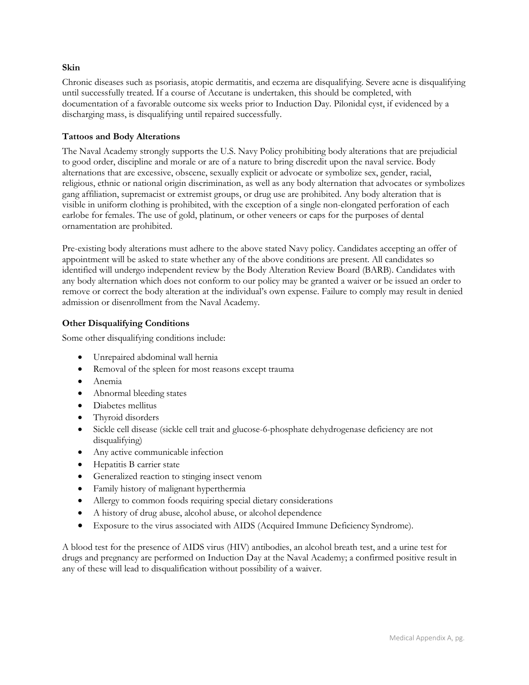## **Skin**

Chronic diseases such as psoriasis, atopic dermatitis, and eczema are disqualifying. Severe acne is disqualifying until successfully treated. If a course of Accutane is undertaken, this should be completed, with documentation of a favorable outcome six weeks prior to Induction Day. Pilonidal cyst, if evidenced by a discharging mass, is disqualifying until repaired successfully.

# **Tattoos and Body Alterations**

The Naval Academy strongly supports the U.S. Navy Policy prohibiting body alterations that are prejudicial to good order, discipline and morale or are of a nature to bring discredit upon the naval service. Body alternations that are excessive, obscene, sexually explicit or advocate or symbolize sex, gender, racial, religious, ethnic or national origin discrimination, as well as any body alternation that advocates or symbolizes gang affiliation, supremacist or extremist groups, or drug use are prohibited. Any body alteration that is visible in uniform clothing is prohibited, with the exception of a single non-elongated perforation of each earlobe for females. The use of gold, platinum, or other veneers or caps for the purposes of dental ornamentation are prohibited.

Pre-existing body alterations must adhere to the above stated Navy policy. Candidates accepting an offer of appointment will be asked to state whether any of the above conditions are present. All candidates so identified will undergo independent review by the Body Alteration Review Board (BARB). Candidates with any body alternation which does not conform to our policy may be granted a waiver or be issued an order to remove or correct the body alteration at the individual's own expense. Failure to comply may result in denied admission or disenrollment from the Naval Academy.

# **Other Disqualifying Conditions**

Some other disqualifying conditions include:

- Unrepaired abdominal wall hernia
- Removal of the spleen for most reasons except trauma
- Anemia
- Abnormal bleeding states
- Diabetes mellitus
- Thyroid disorders
- Sickle cell disease (sickle cell trait and glucose-6-phosphate dehydrogenase deficiency are not disqualifying)
- Any active communicable infection
- Hepatitis B carrier state
- Generalized reaction to stinging insect venom
- Family history of malignant hyperthermia
- Allergy to common foods requiring special dietary considerations
- A history of drug abuse, alcohol abuse, or alcohol dependence
- Exposure to the virus associated with AIDS (Acquired Immune Deficiency Syndrome).

A blood test for the presence of AIDS virus (HIV) antibodies, an alcohol breath test, and a urine test for drugs and pregnancy are performed on Induction Day at the Naval Academy; a confirmed positive result in any of these will lead to disqualification without possibility of a waiver.